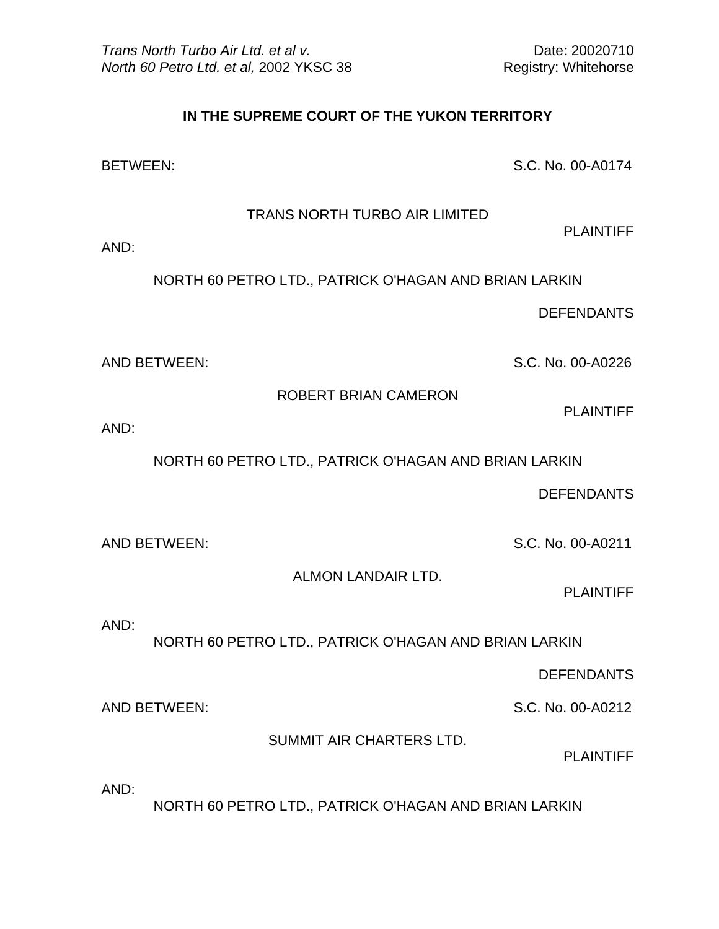## **IN THE SUPREME COURT OF THE YUKON TERRITORY**

BETWEEN: S.C. No. 00-A0174

TRANS NORTH TURBO AIR LIMITED

AND:

NORTH 60 PETRO LTD., PATRICK O'HAGAN AND BRIAN LARKIN

DEFENDANTS

PLAINTIFF

AND BETWEEN: S.C. No. 00-A0226

ROBERT BRIAN CAMERON

PLAINTIFF

AND:

NORTH 60 PETRO LTD., PATRICK O'HAGAN AND BRIAN LARKIN

DEFENDANTS

AND BETWEEN: S.C. No. 00-A0211

ALMON LANDAIR LTD.

PLAINTIFF

AND:

NORTH 60 PETRO LTD., PATRICK O'HAGAN AND BRIAN LARKIN

DEFENDANTS

AND BETWEEN: S.C. No. 00-A0212

SUMMIT AIR CHARTERS LTD.

PLAINTIFF

AND:

NORTH 60 PETRO LTD., PATRICK O'HAGAN AND BRIAN LARKIN